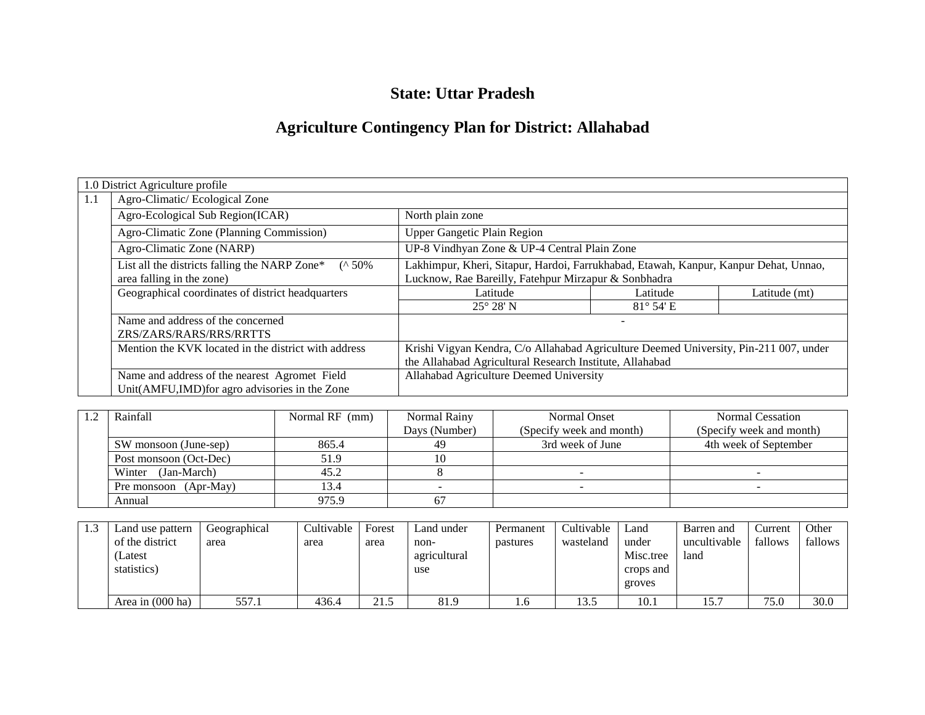## **State: Uttar Pradesh**

# **Agriculture Contingency Plan for District: Allahabad**

|     | 1.0 District Agriculture profile                                                                |                                                                                                                                                   |                    |               |  |  |  |  |
|-----|-------------------------------------------------------------------------------------------------|---------------------------------------------------------------------------------------------------------------------------------------------------|--------------------|---------------|--|--|--|--|
| 1.1 | Agro-Climatic/Ecological Zone                                                                   |                                                                                                                                                   |                    |               |  |  |  |  |
|     | Agro-Ecological Sub Region(ICAR)                                                                | North plain zone                                                                                                                                  |                    |               |  |  |  |  |
|     | Agro-Climatic Zone (Planning Commission)                                                        | Upper Gangetic Plain Region                                                                                                                       |                    |               |  |  |  |  |
|     | Agro-Climatic Zone (NARP)                                                                       | UP-8 Vindhyan Zone & UP-4 Central Plain Zone                                                                                                      |                    |               |  |  |  |  |
|     | List all the districts falling the NARP Zone*<br>$($ ^ 50%<br>area falling in the zone)         | Lakhimpur, Kheri, Sitapur, Hardoi, Farrukhabad, Etawah, Kanpur, Kanpur Dehat, Unnao,<br>Lucknow, Rae Bareilly, Fatehpur Mirzapur & Sonbhadra      |                    |               |  |  |  |  |
|     | Geographical coordinates of district headquarters                                               | Latitude                                                                                                                                          | Latitude           | Latitude (mt) |  |  |  |  |
|     |                                                                                                 | $25^{\circ} 28' N$                                                                                                                                | $81^{\circ}$ 54' E |               |  |  |  |  |
|     | Name and address of the concerned<br>ZRS/ZARS/RARS/RRS/RRTTS                                    |                                                                                                                                                   |                    |               |  |  |  |  |
|     | Mention the KVK located in the district with address                                            | Krishi Vigyan Kendra, C/o Allahabad Agriculture Deemed University, Pin-211 007, under<br>the Allahabad Agricultural Research Institute, Allahabad |                    |               |  |  |  |  |
|     | Name and address of the nearest Agromet Field<br>Unit(AMFU,IMD) for agro advisories in the Zone | Allahabad Agriculture Deemed University                                                                                                           |                    |               |  |  |  |  |

| Rainfall                       | Normal RF (mm) | Normal Rainy  | Normal Onset             | Normal Cessation         |
|--------------------------------|----------------|---------------|--------------------------|--------------------------|
|                                |                | Days (Number) | (Specify week and month) | (Specify week and month) |
| SW monsoon (June-sep)          | 865.4          | 49            | 3rd week of June         | 4th week of September    |
| 51.9<br>Post monsoon (Oct-Dec) |                |               |                          |                          |
| Winter (Jan-March)             | 45.2           |               |                          |                          |
| 13.4<br>Pre monsoon (Apr-May)  |                |               |                          |                          |
| Annual                         | 975.9          |               |                          |                          |

| Land use pattern<br>of the district<br>(Latest<br>statistics) | Geographical<br>area | Cultivable<br>area | Forest<br>area | Land under<br>non-<br>agricultural<br>use | Permanent<br>pastures | Cultivable<br>wasteland | Land<br>under<br>Misc.tree<br>crops and<br>groves | Barren and<br>uncultivable<br>land | Current<br>fallows | Other<br>fallows |
|---------------------------------------------------------------|----------------------|--------------------|----------------|-------------------------------------------|-----------------------|-------------------------|---------------------------------------------------|------------------------------------|--------------------|------------------|
| Area in $(000 \text{ ha})$                                    | 557.1                | 436.4              | 21.5           | 81.9                                      | 1.0                   | 13.5                    | 10.1                                              | 15.7                               | 75.0               | 30.0             |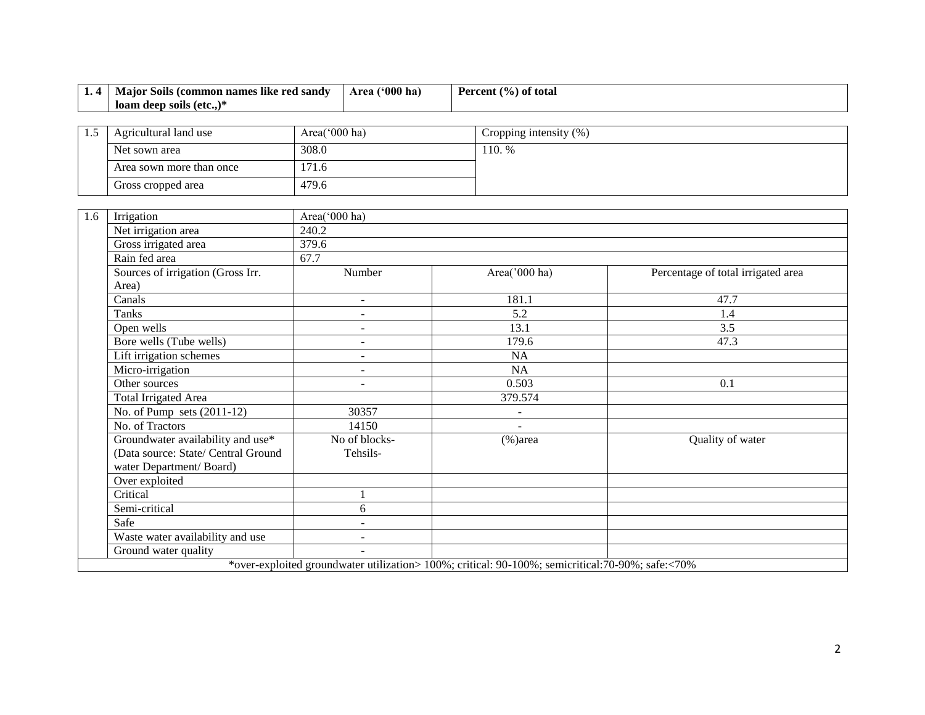| 1.4 | Major Soils (common names like red sandy       |               | Area ('000 ha) | Percent (%) of total                                                                              |                                    |  |  |
|-----|------------------------------------------------|---------------|----------------|---------------------------------------------------------------------------------------------------|------------------------------------|--|--|
|     | loam deep soils (etc.,)*                       |               |                |                                                                                                   |                                    |  |  |
|     |                                                |               |                |                                                                                                   |                                    |  |  |
| 1.5 | Agricultural land use                          | Area('000 ha) |                | Cropping intensity (%)                                                                            |                                    |  |  |
|     | Net sown area                                  | 308.0         |                | 110. %                                                                                            |                                    |  |  |
|     | Area sown more than once                       | 171.6         |                |                                                                                                   |                                    |  |  |
|     | Gross cropped area                             | 479.6         |                |                                                                                                   |                                    |  |  |
|     |                                                |               |                |                                                                                                   |                                    |  |  |
| 1.6 | Irrigation                                     | Area('000 ha) |                |                                                                                                   |                                    |  |  |
|     | Net irrigation area                            | 240.2         |                |                                                                                                   |                                    |  |  |
|     | Gross irrigated area                           | 379.6         |                |                                                                                                   |                                    |  |  |
|     | Rain fed area                                  | 67.7          |                |                                                                                                   |                                    |  |  |
|     | Sources of irrigation (Gross Irr.              |               | Number         | Area('000 ha)                                                                                     | Percentage of total irrigated area |  |  |
|     | Area)                                          |               |                |                                                                                                   |                                    |  |  |
|     | Canals                                         |               |                | 181.1                                                                                             | 47.7                               |  |  |
|     | Tanks                                          |               | $\mathbf{r}$   | 5.2                                                                                               | 1.4                                |  |  |
|     | Open wells                                     |               | $\blacksquare$ | 13.1                                                                                              | 3.5                                |  |  |
|     | Bore wells (Tube wells)                        |               | $\blacksquare$ | 179.6                                                                                             | 47.3                               |  |  |
|     | Lift irrigation schemes                        |               | $\blacksquare$ | NA                                                                                                |                                    |  |  |
|     | Micro-irrigation                               |               | $\sim$         | NA                                                                                                |                                    |  |  |
|     | Other sources                                  |               |                | 0.503                                                                                             | 0.1                                |  |  |
|     | <b>Total Irrigated Area</b>                    |               |                | 379.574                                                                                           |                                    |  |  |
|     | $\overline{\text{No.}}$ of Pump sets (2011-12) |               | 30357          | $\blacksquare$                                                                                    |                                    |  |  |
|     | No. of Tractors                                |               | 14150          | $\overline{a}$                                                                                    |                                    |  |  |
|     | Groundwater availability and use*              |               | No of blocks-  | $(\% )$ area                                                                                      | Quality of water                   |  |  |
|     | (Data source: State/ Central Ground            |               | Tehsils-       |                                                                                                   |                                    |  |  |
|     | water Department/Board)                        |               |                |                                                                                                   |                                    |  |  |
|     | Over exploited                                 |               |                |                                                                                                   |                                    |  |  |
|     | Critical                                       |               |                |                                                                                                   |                                    |  |  |
|     | Semi-critical                                  |               | 6              |                                                                                                   |                                    |  |  |
|     | Safe                                           |               | $\blacksquare$ |                                                                                                   |                                    |  |  |
|     | Waste water availability and use               |               |                |                                                                                                   |                                    |  |  |
|     | Ground water quality                           |               |                |                                                                                                   |                                    |  |  |
|     |                                                |               |                | *over-exploited groundwater utilization> 100%; critical: 90-100%; semicritical: 70-90%; safe:<70% |                                    |  |  |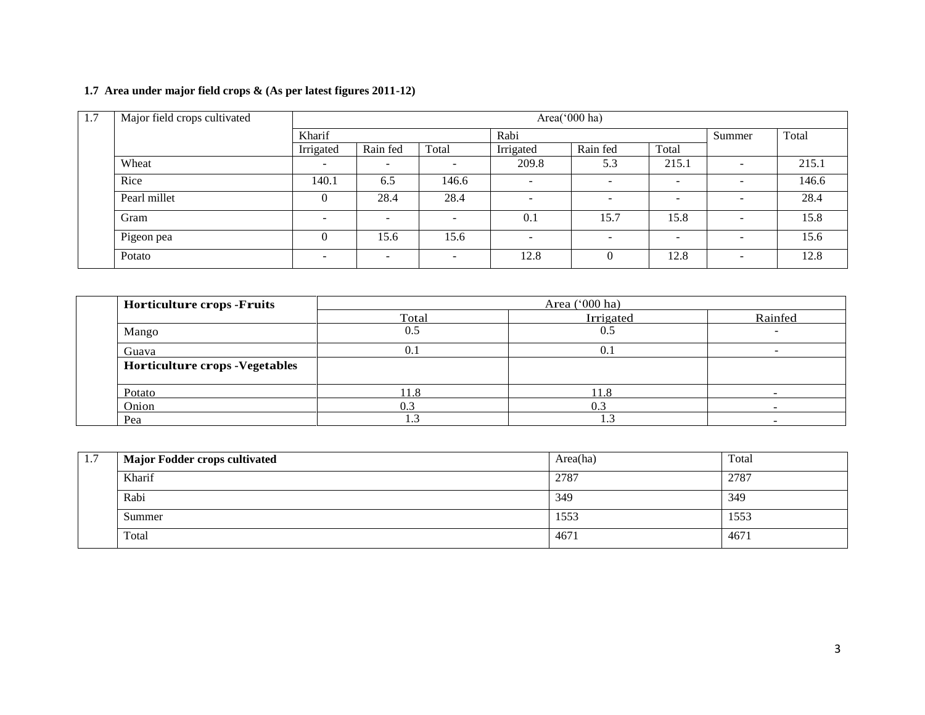## **1.7 Area under major field crops & (As per latest figures 2011-12)**

| 1.7 | Major field crops cultivated | Area(' $000$ ha)         |                          |                          |           |                          |                          |                          |       |
|-----|------------------------------|--------------------------|--------------------------|--------------------------|-----------|--------------------------|--------------------------|--------------------------|-------|
|     |                              | Kharif                   |                          |                          |           |                          |                          | Summer                   | Total |
|     |                              | Irrigated                | Rain fed                 | Total                    | Irrigated | Rain fed                 | Total                    |                          |       |
|     | Wheat                        | -                        |                          |                          | 209.8     | 5.3                      | 215.1                    | $\sim$                   | 215.1 |
|     | Rice                         | 140.1                    | 6.5                      | 146.6                    |           |                          | $\overline{\phantom{0}}$ | $\overline{\phantom{0}}$ | 146.6 |
|     | Pearl millet                 | $\theta$                 | 28.4                     | 28.4                     |           | $\overline{\phantom{a}}$ | $\overline{\phantom{a}}$ | -                        | 28.4  |
|     | Gram                         | $\overline{\phantom{a}}$ | $\overline{\phantom{0}}$ | $\overline{\phantom{0}}$ | 0.1       | 15.7                     | 15.8                     | $\overline{\phantom{a}}$ | 15.8  |
|     | Pigeon pea                   | $\Omega$                 | 15.6                     | 15.6                     | ۰         | $\overline{\phantom{a}}$ | $\overline{\phantom{0}}$ | $\overline{\phantom{0}}$ | 15.6  |
|     | Potato                       | $\overline{\phantom{0}}$ | $\overline{\phantom{0}}$ | $\overline{\phantom{0}}$ | 12.8      | $\theta$                 | 12.8                     | $\overline{\phantom{a}}$ | 12.8  |

| <b>Horticulture crops -Fruits</b>      |       | Area $('000 ha)$ |         |  |
|----------------------------------------|-------|------------------|---------|--|
|                                        | Total | Irrigated        | Rainfed |  |
| Mango                                  | 0.5   | 0.5              |         |  |
| Guava                                  | 0.1   | 0.1              |         |  |
| <b>Horticulture crops - Vegetables</b> |       |                  |         |  |
| Potato                                 | 11.8  | 11.8             |         |  |
| Onion                                  | 0.3   | 0.3              |         |  |
| Pea                                    | .     |                  |         |  |

| 1.7 | <b>Major Fodder crops cultivated</b> | Area(ha) | Total |  |
|-----|--------------------------------------|----------|-------|--|
|     | Kharif                               | 2787     | 2787  |  |
|     | Rabi                                 | 349      | 349   |  |
|     | Summer                               | 1553     | 1553  |  |
|     | Total                                | 4671     | 4671  |  |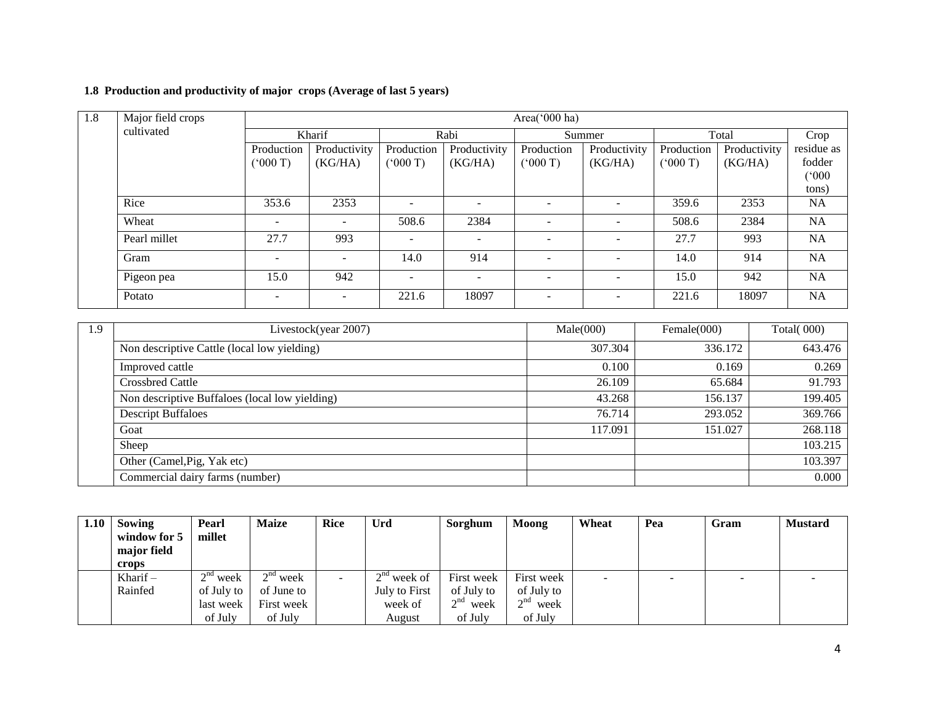## **1.8 Production and productivity of major crops (Average of last 5 years)**

| 1.8 | Major field crops |                          |                          |                          |                          | Area('000 ha)            |                          |            |              |            |
|-----|-------------------|--------------------------|--------------------------|--------------------------|--------------------------|--------------------------|--------------------------|------------|--------------|------------|
|     | cultivated        |                          | Kharif                   |                          | Rabi                     | Summer                   |                          |            | Total        | Crop       |
|     |                   | Production               | Productivity             | Production               | Productivity             | Production               | Productivity             | Production | Productivity | residue as |
|     |                   | (5000)                   | (KG/HA)                  | (5000)                   | (KG/HA)                  | (5000T)                  | (KG/HA)                  | (000 T)    | (KG/HA)      | fodder     |
|     |                   |                          |                          |                          |                          |                          |                          |            |              | (000)      |
|     |                   |                          |                          |                          |                          |                          |                          |            |              | tons)      |
|     | Rice              | 353.6                    | 2353                     | $\overline{\phantom{0}}$ |                          |                          | $\overline{\phantom{a}}$ | 359.6      | 2353         | <b>NA</b>  |
|     | Wheat             | $\overline{\phantom{a}}$ | -                        | 508.6                    | 2384                     |                          | $\overline{a}$           | 508.6      | 2384         | NA         |
|     | Pearl millet      | 27.7                     | 993                      | $\sim$                   |                          | $\overline{\phantom{a}}$ | $\overline{\phantom{0}}$ | 27.7       | 993          | NA         |
|     | Gram              | $\overline{\phantom{a}}$ | -                        | 14.0                     | 914                      |                          | $\overline{\phantom{0}}$ | 14.0       | 914          | <b>NA</b>  |
|     | Pigeon pea        | 15.0                     | 942                      | $\sim$                   | $\overline{\phantom{a}}$ | $\overline{\phantom{0}}$ | $\overline{\phantom{0}}$ | 15.0       | 942          | NA         |
|     | Potato            | $\overline{\phantom{a}}$ | $\overline{\phantom{0}}$ | 221.6                    | 18097                    | $\overline{\phantom{0}}$ | $\sim$                   | 221.6      | 18097        | <b>NA</b>  |

| 1.9 | Livestock(year 2007)                           | Male(000) | Female(000) | Total $(000)$ |
|-----|------------------------------------------------|-----------|-------------|---------------|
|     | Non descriptive Cattle (local low yielding)    | 307.304   | 336.172     | 643.476       |
|     | Improved cattle                                | 0.100     | 0.169       | 0.269         |
|     | <b>Crossbred Cattle</b>                        | 26.109    | 65.684      | 91.793        |
|     | Non descriptive Buffaloes (local low yielding) | 43.268    | 156.137     | 199.405       |
|     | <b>Descript Buffaloes</b>                      | 76.714    | 293.052     | 369.766       |
|     | Goat                                           | 117.091   | 151.027     | 268.118       |
|     | Sheep                                          |           |             | 103.215       |
|     | Other (Camel, Pig, Yak etc)                    |           |             | 103.397       |
|     | Commercial dairy farms (number)                |           |             | 0.000         |

| 1.10 | Sowing       | Pearl                    | <b>Maize</b>                       | <b>Rice</b>              | Urd           | Sorghum    | Moong               | Wheat  | Pea                      | Gram                     | <b>Mustard</b>           |
|------|--------------|--------------------------|------------------------------------|--------------------------|---------------|------------|---------------------|--------|--------------------------|--------------------------|--------------------------|
|      | window for 5 | millet                   |                                    |                          |               |            |                     |        |                          |                          |                          |
|      | major field  |                          |                                    |                          |               |            |                     |        |                          |                          |                          |
|      | crops        |                          |                                    |                          |               |            |                     |        |                          |                          |                          |
|      | Kharif $-$   | $\gamma$ nd<br>week<br>∠ | $\sim$ nd<br>week<br>$\mathcal{L}$ | $\overline{\phantom{a}}$ | $2nd$ week of | First week | First week          | $\sim$ | $\overline{\phantom{0}}$ | $\overline{\phantom{0}}$ | $\overline{\phantom{0}}$ |
|      | Rainfed      | of July to               | of June to                         |                          | July to First | of July to | of July to          |        |                          |                          |                          |
|      |              | last week                | First week                         |                          | week of       | $2nd$ week | $\gamma$ nd<br>week |        |                          |                          |                          |
|      |              | of July                  | of July                            |                          | August        | of July    | of July             |        |                          |                          |                          |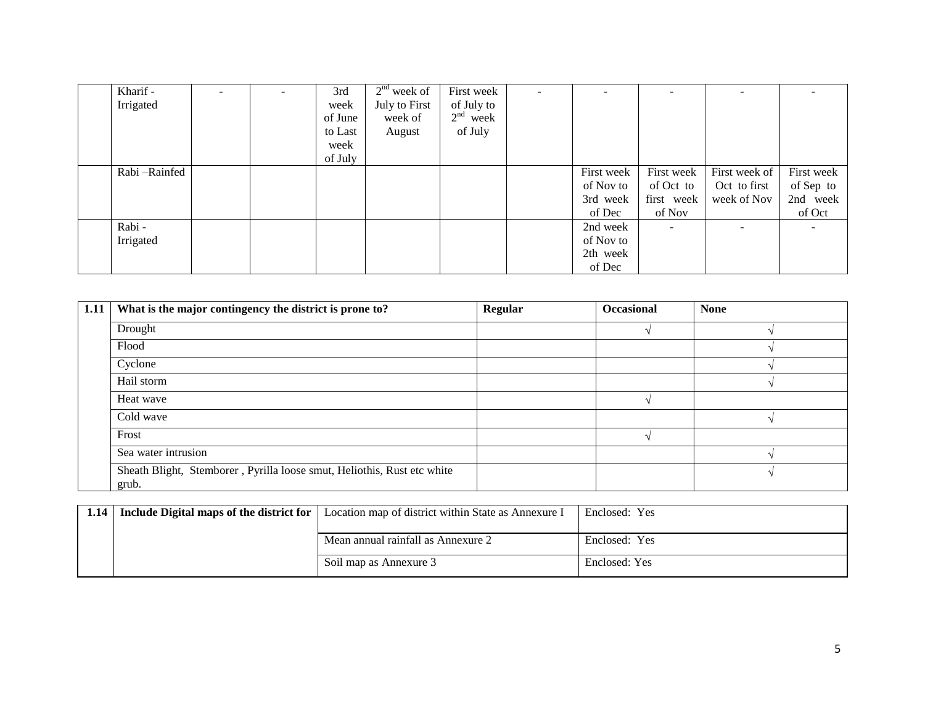| Kharif -     |  | 3rd     | $2nd$ week of | First week |            |            |                          |                          |
|--------------|--|---------|---------------|------------|------------|------------|--------------------------|--------------------------|
| Irrigated    |  | week    | July to First | of July to |            |            |                          |                          |
|              |  | of June | week of       | $2nd$ week |            |            |                          |                          |
|              |  | to Last | August        | of July    |            |            |                          |                          |
|              |  | week    |               |            |            |            |                          |                          |
|              |  | of July |               |            |            |            |                          |                          |
| Rabi-Rainfed |  |         |               |            | First week | First week | First week of            | First week               |
|              |  |         |               |            | of Nov to  | of Oct to  | Oct to first             | of Sep to                |
|              |  |         |               |            | 3rd week   | first week | week of Nov              | 2nd week                 |
|              |  |         |               |            | of Dec     | of Nov     |                          | of Oct                   |
| Rabi-        |  |         |               |            | 2nd week   |            | $\overline{\phantom{a}}$ | $\overline{\phantom{a}}$ |
| Irrigated    |  |         |               |            | of Nov to  |            |                          |                          |
|              |  |         |               |            | 2th week   |            |                          |                          |
|              |  |         |               |            | of Dec     |            |                          |                          |

| 1.11 | What is the major contingency the district is prone to?                          | Regular | Occasional | <b>None</b> |
|------|----------------------------------------------------------------------------------|---------|------------|-------------|
|      | Drought                                                                          |         |            |             |
|      | Flood                                                                            |         |            |             |
|      | Cyclone                                                                          |         |            |             |
|      | Hail storm                                                                       |         |            |             |
|      | Heat wave                                                                        |         |            |             |
|      | Cold wave                                                                        |         |            |             |
|      | Frost                                                                            |         |            |             |
|      | Sea water intrusion                                                              |         |            |             |
|      | Sheath Blight, Stemborer, Pyrilla loose smut, Heliothis, Rust etc white<br>grub. |         |            |             |

| 1.14   Include Digital maps of the district for | Location map of district within State as Annexure I | Enclosed: Yes |
|-------------------------------------------------|-----------------------------------------------------|---------------|
|                                                 |                                                     |               |
|                                                 | Mean annual rainfall as Annexure 2                  | Enclosed: Yes |
|                                                 | Soil map as Annexure 3                              | Enclosed: Yes |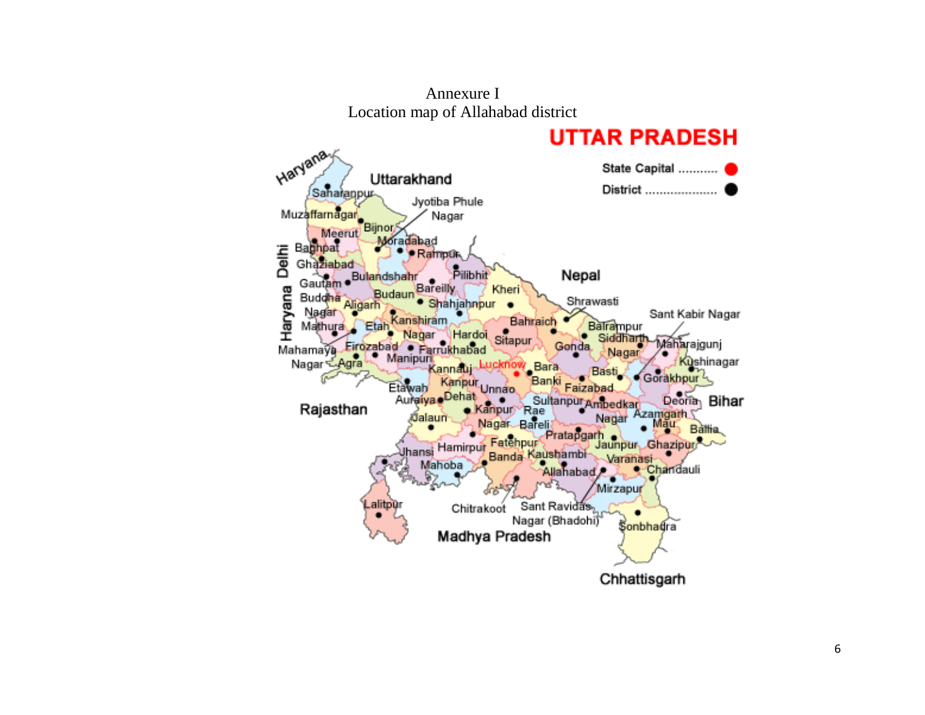

Annexure I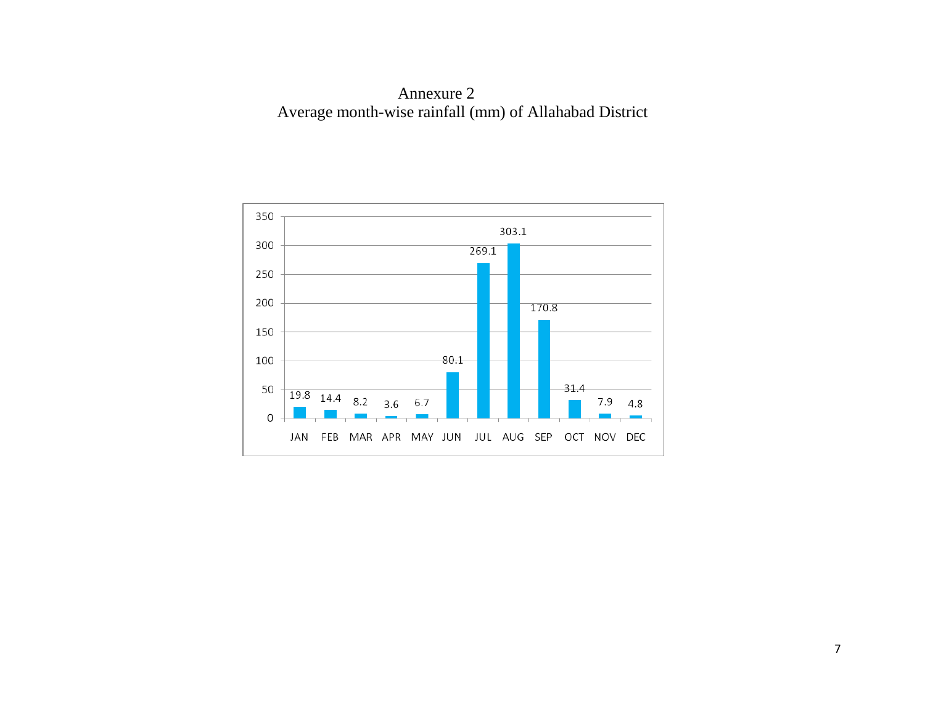Annexure 2 Average month-wise rainfall (mm) of Allahabad District

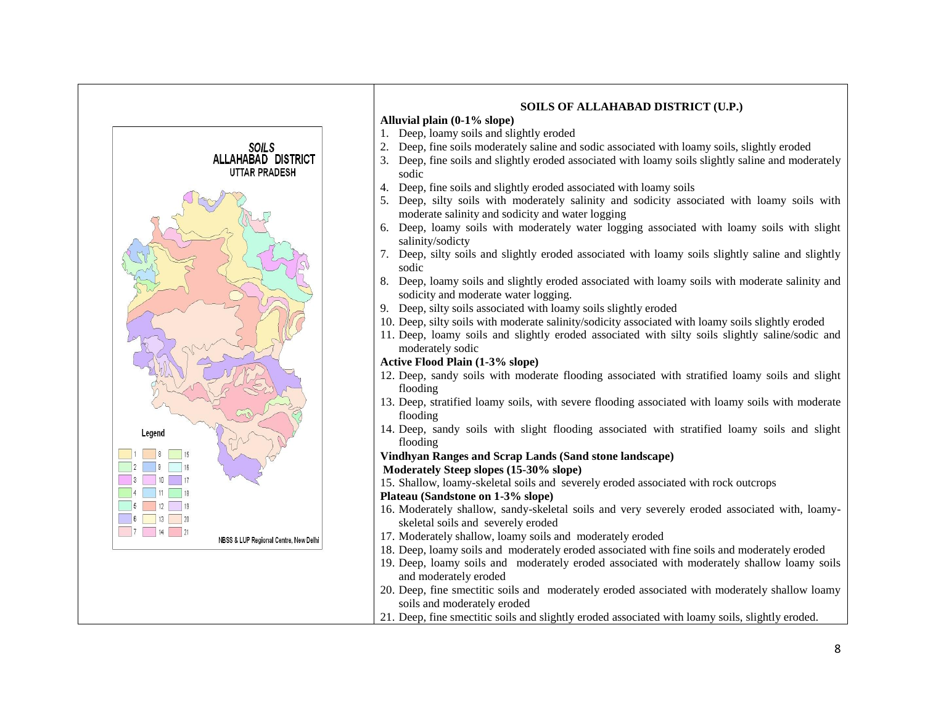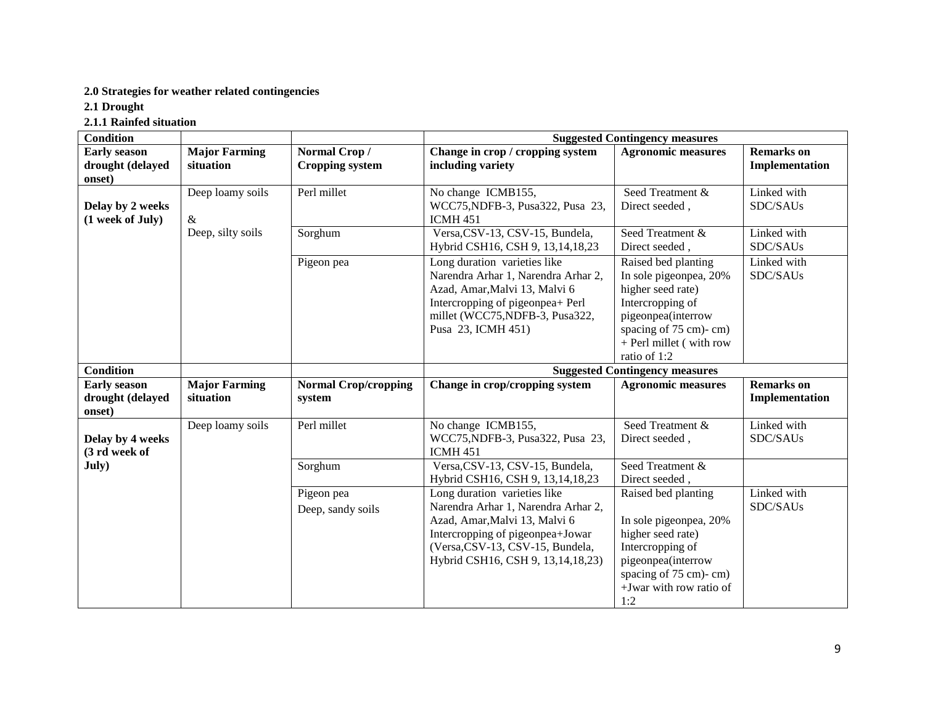## **2.0 Strategies for weather related contingencies**

**2.1 Drought**

**2.1.1 Rainfed situation**

| <b>Condition</b>                                  |                                   |                                        | <b>Suggested Contingency measures</b>                                                                                                                                                                             |                                                                                                                                                                                  |                                     |  |
|---------------------------------------------------|-----------------------------------|----------------------------------------|-------------------------------------------------------------------------------------------------------------------------------------------------------------------------------------------------------------------|----------------------------------------------------------------------------------------------------------------------------------------------------------------------------------|-------------------------------------|--|
| <b>Early season</b><br>drought (delayed<br>onset) | <b>Major Farming</b><br>situation | Normal Crop/<br><b>Cropping system</b> | Change in crop / cropping system<br>including variety                                                                                                                                                             | <b>Agronomic measures</b>                                                                                                                                                        | <b>Remarks</b> on<br>Implementation |  |
| Delay by 2 weeks<br>(1 week of July)              | Deep loamy soils<br>$\&$          | Perl millet                            | No change ICMB155,<br>WCC75, NDFB-3, Pusa322, Pusa 23,<br><b>ICMH 451</b>                                                                                                                                         | Seed Treatment &<br>Direct seeded,                                                                                                                                               | Linked with<br>SDC/SAUs             |  |
|                                                   | Deep, silty soils                 | Sorghum                                | Versa, CSV-13, CSV-15, Bundela,<br>Hybrid CSH16, CSH 9, 13, 14, 18, 23                                                                                                                                            | Seed Treatment &<br>Direct seeded,                                                                                                                                               | Linked with<br>SDC/SAUs             |  |
|                                                   |                                   | Pigeon pea                             | Long duration varieties like<br>Narendra Arhar 1, Narendra Arhar 2,<br>Azad, Amar, Malvi 13, Malvi 6<br>Intercropping of pigeonpea+ Perl<br>millet (WCC75,NDFB-3, Pusa322,<br>Pusa 23, ICMH 451)                  | Raised bed planting<br>In sole pigeonpea, 20%<br>higher seed rate)<br>Intercropping of<br>pigeonpea(interrow<br>spacing of 75 cm)-cm)<br>+ Perl millet (with row<br>ratio of 1:2 | Linked with<br>SDC/SAUs             |  |
| <b>Condition</b>                                  |                                   |                                        |                                                                                                                                                                                                                   | <b>Suggested Contingency measures</b>                                                                                                                                            |                                     |  |
| <b>Early season</b><br>drought (delayed<br>onset) | <b>Major Farming</b><br>situation | <b>Normal Crop/cropping</b><br>system  | Change in crop/cropping system                                                                                                                                                                                    | <b>Agronomic measures</b>                                                                                                                                                        | <b>Remarks</b> on<br>Implementation |  |
| Delay by 4 weeks<br>(3 rd week of                 | Deep loamy soils                  | Perl millet                            | No change ICMB155,<br>WCC75, NDFB-3, Pusa322, Pusa 23,<br><b>ICMH 451</b>                                                                                                                                         | Seed Treatment &<br>Direct seeded,                                                                                                                                               | Linked with<br>SDC/SAUs             |  |
| July)                                             |                                   | Sorghum                                | Versa, CSV-13, CSV-15, Bundela,<br>Hybrid CSH16, CSH 9, 13,14,18,23                                                                                                                                               | Seed Treatment &<br>Direct seeded,                                                                                                                                               |                                     |  |
|                                                   |                                   | Pigeon pea<br>Deep, sandy soils        | Long duration varieties like<br>Narendra Arhar 1, Narendra Arhar 2,<br>Azad, Amar, Malvi 13, Malvi 6<br>Intercropping of pigeonpea+Jowar<br>(Versa, CSV-13, CSV-15, Bundela,<br>Hybrid CSH16, CSH 9, 13,14,18,23) | Raised bed planting<br>In sole pigeonpea, 20%<br>higher seed rate)<br>Intercropping of<br>pigeonpea(interrow<br>spacing of 75 cm)-cm)<br>+Jwar with row ratio of<br>1:2          | Linked with<br>SDC/SAUs             |  |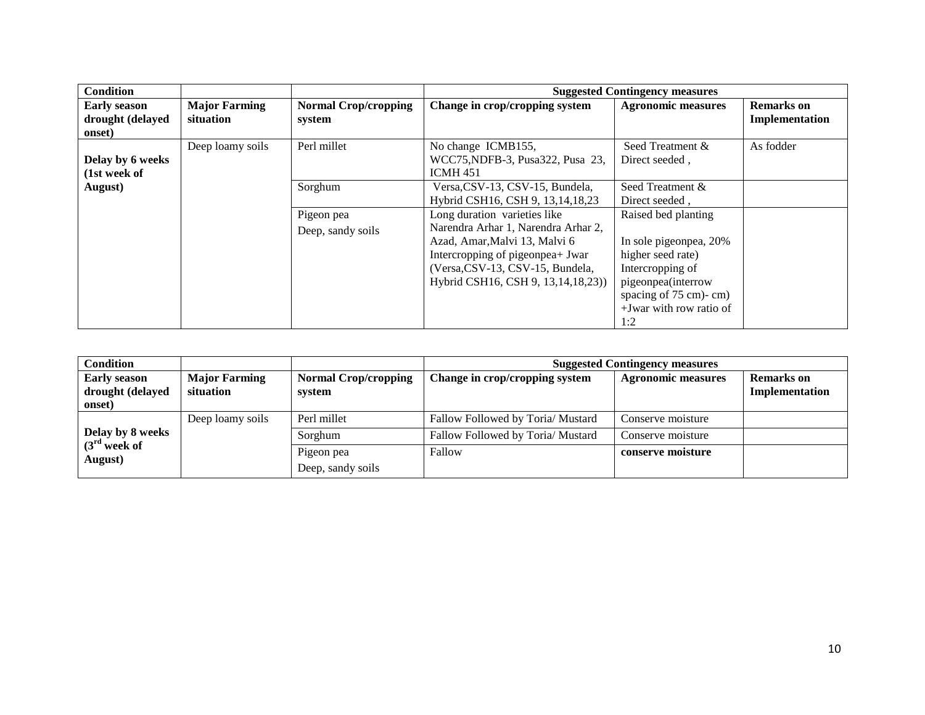| <b>Condition</b>                                  |                                   |                                       |                                                                                                                                                                                                                    | <b>Suggested Contingency measures</b>                                                                                                                                      |                                     |
|---------------------------------------------------|-----------------------------------|---------------------------------------|--------------------------------------------------------------------------------------------------------------------------------------------------------------------------------------------------------------------|----------------------------------------------------------------------------------------------------------------------------------------------------------------------------|-------------------------------------|
| <b>Early season</b><br>drought (delayed<br>onset) | <b>Major Farming</b><br>situation | <b>Normal Crop/cropping</b><br>system | Change in crop/cropping system                                                                                                                                                                                     | <b>Agronomic measures</b>                                                                                                                                                  | <b>Remarks</b> on<br>Implementation |
| Delay by 6 weeks<br>(1st week of                  | Deep loamy soils                  | Perl millet                           | No change ICMB155,<br>WCC75, NDFB-3, Pusa 322, Pusa 23,<br><b>ICMH 451</b>                                                                                                                                         | Seed Treatment &<br>Direct seeded,                                                                                                                                         | As fodder                           |
| August)                                           |                                   | Sorghum                               | Versa, CSV-13, CSV-15, Bundela,<br>Hybrid CSH16, CSH 9, 13, 14, 18, 23                                                                                                                                             | Seed Treatment &<br>Direct seeded,                                                                                                                                         |                                     |
|                                                   |                                   | Pigeon pea<br>Deep, sandy soils       | Long duration varieties like<br>Narendra Arhar 1, Narendra Arhar 2,<br>Azad, Amar, Malvi 13, Malvi 6<br>Intercropping of pigeonpea+ Jwar<br>(Versa, CSV-13, CSV-15, Bundela,<br>Hybrid CSH16, CSH 9, 13,14,18,23)) | Raised bed planting<br>In sole pigeonpea, 20%<br>higher seed rate)<br>Intercropping of<br>pigeonpea(interrow<br>spacing of 75 cm)-cm)<br>$+$ Jwar with row ratio of<br>1:2 |                                     |

| <b>Condition</b>                                  |                                   |                                       | <b>Suggested Contingency measures</b> |                           |                                     |  |
|---------------------------------------------------|-----------------------------------|---------------------------------------|---------------------------------------|---------------------------|-------------------------------------|--|
| <b>Early season</b><br>drought (delayed<br>onset) | <b>Major Farming</b><br>situation | <b>Normal Crop/cropping</b><br>system | Change in crop/cropping system        | <b>Agronomic measures</b> | <b>Remarks</b> on<br>Implementation |  |
|                                                   | Deep loamy soils                  | Perl millet                           | Fallow Followed by Toria/ Mustard     | Conserve moisture         |                                     |  |
| Delay by 8 weeks                                  |                                   | Sorghum                               | Fallow Followed by Toria/ Mustard     | Conserve moisture         |                                     |  |
| $(3rd$ week of<br>August)                         |                                   | Pigeon pea                            | Fallow                                | conserve moisture         |                                     |  |
|                                                   |                                   | Deep, sandy soils                     |                                       |                           |                                     |  |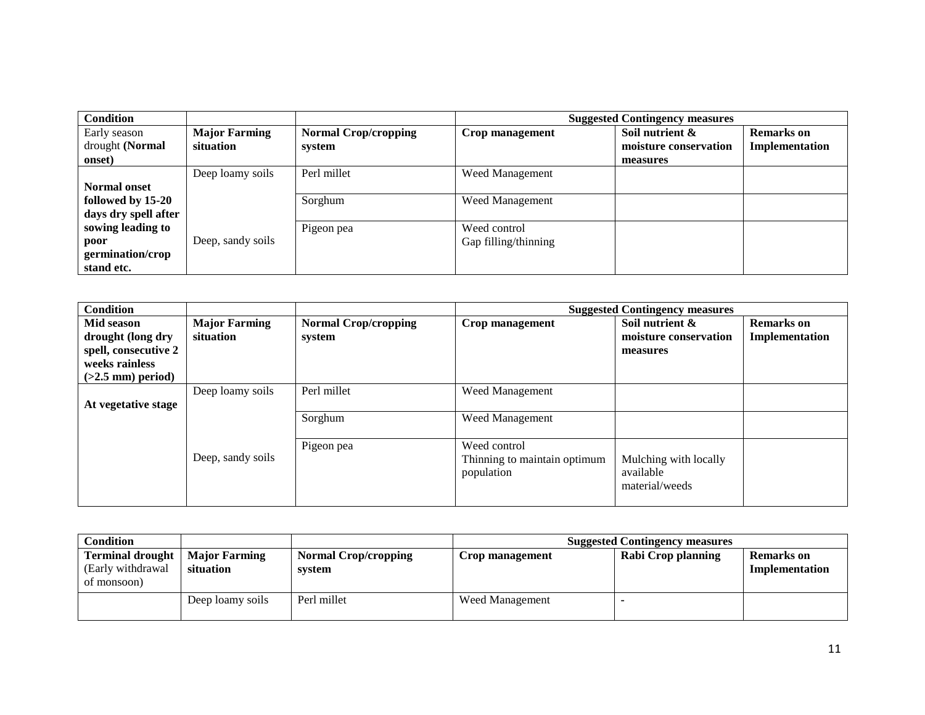| <b>Condition</b>     |                      |                             |                      | <b>Suggested Contingency measures</b> |                   |
|----------------------|----------------------|-----------------------------|----------------------|---------------------------------------|-------------------|
| Early season         | <b>Major Farming</b> | <b>Normal Crop/cropping</b> | Crop management      | Soil nutrient &                       | <b>Remarks</b> on |
| drought (Normal      | situation            | system                      |                      | moisture conservation                 | Implementation    |
| onset)               |                      |                             |                      | measures                              |                   |
|                      | Deep loamy soils     | Perl millet                 | Weed Management      |                                       |                   |
| <b>Normal onset</b>  |                      |                             |                      |                                       |                   |
| followed by 15-20    |                      | Sorghum                     | Weed Management      |                                       |                   |
| days dry spell after |                      |                             |                      |                                       |                   |
| sowing leading to    |                      | Pigeon pea                  | Weed control         |                                       |                   |
| poor                 | Deep, sandy soils    |                             | Gap filling/thinning |                                       |                   |
| germination/crop     |                      |                             |                      |                                       |                   |
| stand etc.           |                      |                             |                      |                                       |                   |

| <b>Condition</b>     |                      |                             |                              | <b>Suggested Contingency measures</b> |                   |
|----------------------|----------------------|-----------------------------|------------------------------|---------------------------------------|-------------------|
| Mid season           | <b>Major Farming</b> | <b>Normal Crop/cropping</b> | Crop management              | Soil nutrient &                       | <b>Remarks</b> on |
| drought (long dry    | situation            | system                      |                              | moisture conservation                 | Implementation    |
| spell, consecutive 2 |                      |                             |                              | measures                              |                   |
| weeks rainless       |                      |                             |                              |                                       |                   |
| $(>2.5$ mm) period)  |                      |                             |                              |                                       |                   |
|                      | Deep loamy soils     | Perl millet                 | Weed Management              |                                       |                   |
| At vegetative stage  |                      |                             |                              |                                       |                   |
|                      |                      | Sorghum                     | <b>Weed Management</b>       |                                       |                   |
|                      |                      |                             |                              |                                       |                   |
|                      |                      | Pigeon pea                  | Weed control                 |                                       |                   |
|                      | Deep, sandy soils    |                             | Thinning to maintain optimum | Mulching with locally                 |                   |
|                      |                      |                             | population                   | available                             |                   |
|                      |                      |                             |                              | material/weeds                        |                   |
|                      |                      |                             |                              |                                       |                   |

| <b>Condition</b>                                             |                                   |                                       |                 | <b>Suggested Contingency measures</b> |                                     |
|--------------------------------------------------------------|-----------------------------------|---------------------------------------|-----------------|---------------------------------------|-------------------------------------|
| <b>Terminal drought</b><br>(Early withdrawal)<br>of monsoon) | <b>Major Farming</b><br>situation | <b>Normal Crop/cropping</b><br>system | Crop management | Rabi Crop planning                    | <b>Remarks</b> on<br>Implementation |
|                                                              | Deep loamy soils                  | Perl millet                           | Weed Management |                                       |                                     |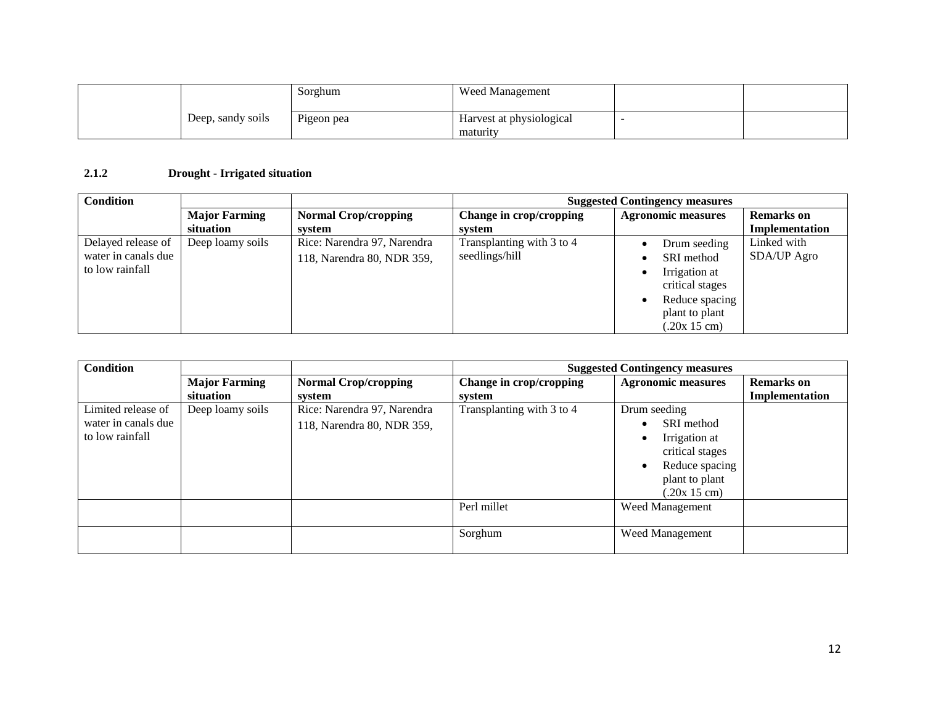|                   | Sorghum    | Weed Management                      |  |
|-------------------|------------|--------------------------------------|--|
| Deep, sandy soils | Pigeon pea | Harvest at physiological<br>maturity |  |

## **2.1.2 Drought - Irrigated situation**

| <b>Condition</b>    |                      |                             | <b>Suggested Contingency measures</b> |                           |                   |  |
|---------------------|----------------------|-----------------------------|---------------------------------------|---------------------------|-------------------|--|
|                     | <b>Major Farming</b> | <b>Normal Crop/cropping</b> | Change in crop/cropping               | <b>Agronomic measures</b> | <b>Remarks</b> on |  |
|                     | situation            | system                      | system                                |                           | Implementation    |  |
| Delayed release of  | Deep loamy soils     | Rice: Narendra 97, Narendra | Transplanting with 3 to 4             | Drum seeding              | Linked with       |  |
| water in canals due |                      | 118, Narendra 80, NDR 359,  | seedlings/hill                        | SRI method                | SDA/UP Agro       |  |
| to low rainfall     |                      |                             |                                       | Irrigation at             |                   |  |
|                     |                      |                             |                                       | critical stages           |                   |  |
|                     |                      |                             |                                       | Reduce spacing            |                   |  |
|                     |                      |                             |                                       | plant to plant            |                   |  |
|                     |                      |                             |                                       | (.20x 15 cm)              |                   |  |

| <b>Condition</b>                                             |                      |                                                           |                           | <b>Suggested Contingency measures</b>                                                         |                   |
|--------------------------------------------------------------|----------------------|-----------------------------------------------------------|---------------------------|-----------------------------------------------------------------------------------------------|-------------------|
|                                                              | <b>Major Farming</b> | <b>Normal Crop/cropping</b>                               | Change in crop/cropping   | <b>Agronomic measures</b>                                                                     | <b>Remarks</b> on |
|                                                              | situation            | system                                                    | system                    |                                                                                               | Implementation    |
| Limited release of<br>water in canals due<br>to low rainfall | Deep loamy soils     | Rice: Narendra 97, Narendra<br>118, Narendra 80, NDR 359, | Transplanting with 3 to 4 | Drum seeding<br>SRI method<br>Irrigation at<br>$\bullet$<br>critical stages<br>Reduce spacing |                   |
|                                                              |                      |                                                           |                           | plant to plant<br>(.20x 15 cm)                                                                |                   |
|                                                              |                      |                                                           | Perl millet               | Weed Management                                                                               |                   |
|                                                              |                      |                                                           | Sorghum                   | <b>Weed Management</b>                                                                        |                   |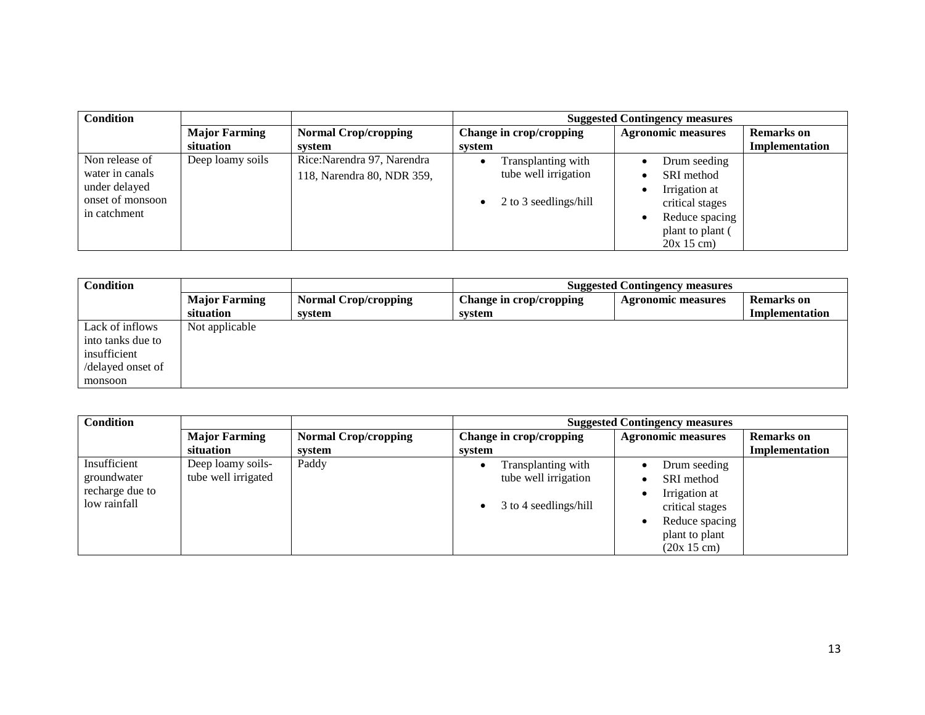| <b>Condition</b> |                      |                             |                                    | <b>Suggested Contingency measures</b> |                   |
|------------------|----------------------|-----------------------------|------------------------------------|---------------------------------------|-------------------|
|                  | <b>Major Farming</b> | <b>Normal Crop/cropping</b> | Change in crop/cropping            | <b>Agronomic measures</b>             | <b>Remarks</b> on |
|                  | situation            | svstem                      | system                             |                                       | Implementation    |
| Non release of   | Deep loamy soils     | Rice:Narendra 97, Narendra  | Transplanting with                 | Drum seeding                          |                   |
| water in canals  |                      | 118, Narendra 80, NDR 359,  | tube well irrigation               | SRI method                            |                   |
| under delayed    |                      |                             |                                    | Irrigation at                         |                   |
| onset of monsoon |                      |                             | 2 to 3 seedlings/hill<br>$\bullet$ | critical stages                       |                   |
| in catchment     |                      |                             |                                    | Reduce spacing                        |                   |
|                  |                      |                             |                                    | plant to plant (                      |                   |
|                  |                      |                             |                                    | $20x 15$ cm)                          |                   |

| <b>Condition</b>  |                      |                             | <b>Suggested Contingency measures</b> |                           |                   |
|-------------------|----------------------|-----------------------------|---------------------------------------|---------------------------|-------------------|
|                   | <b>Major Farming</b> | <b>Normal Crop/cropping</b> | Change in crop/cropping               | <b>Agronomic measures</b> | <b>Remarks</b> on |
|                   | situation            | system                      | system                                |                           | Implementation    |
| Lack of inflows   | Not applicable       |                             |                                       |                           |                   |
| into tanks due to |                      |                             |                                       |                           |                   |
| insufficient      |                      |                             |                                       |                           |                   |
| /delayed onset of |                      |                             |                                       |                           |                   |
| monsoon           |                      |                             |                                       |                           |                   |

| <b>Condition</b> |                      |                             | <b>Suggested Contingency measures</b> |                           |                   |
|------------------|----------------------|-----------------------------|---------------------------------------|---------------------------|-------------------|
|                  | <b>Major Farming</b> | <b>Normal Crop/cropping</b> | Change in crop/cropping               | <b>Agronomic measures</b> | <b>Remarks</b> on |
|                  | situation            | system                      | system                                |                           | Implementation    |
| Insufficient     | Deep loamy soils-    | Paddy                       | Transplanting with                    | Drum seeding              |                   |
| groundwater      | tube well irrigated  |                             | tube well irrigation                  | SRI method                |                   |
| recharge due to  |                      |                             |                                       | Irrigation at             |                   |
| low rainfall     |                      |                             | 3 to 4 seedlings/hill                 | critical stages           |                   |
|                  |                      |                             |                                       | Reduce spacing            |                   |
|                  |                      |                             |                                       | plant to plant            |                   |
|                  |                      |                             |                                       | (20x 15 cm)               |                   |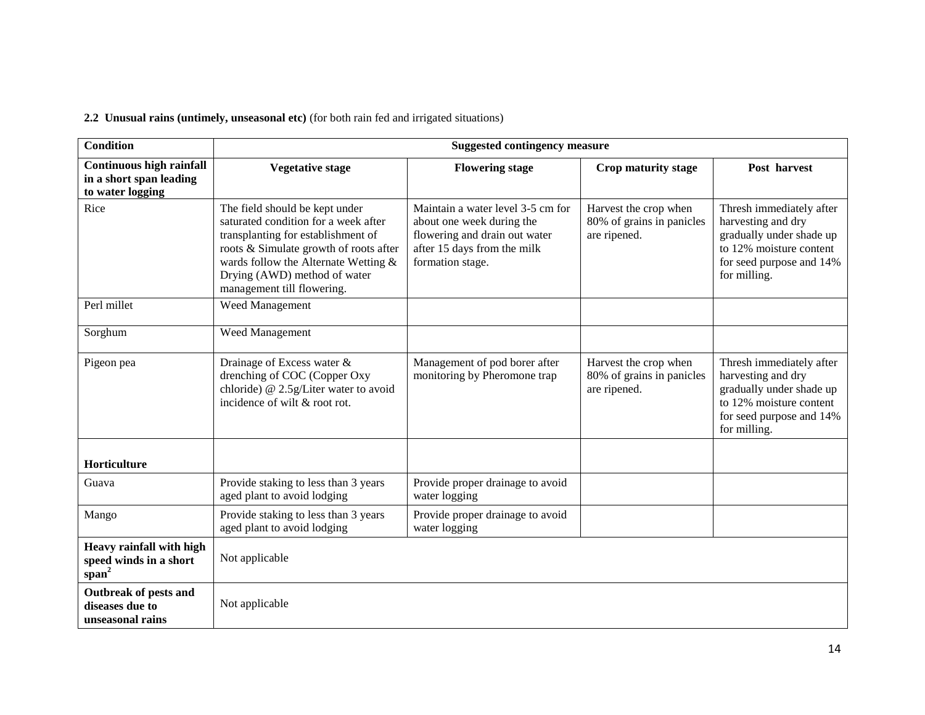**2.2 Unusual rains (untimely, unseasonal etc)** (for both rain fed and irrigated situations)

| <b>Condition</b>                                                               | <b>Suggested contingency measure</b>                                                                                                                                                                                                                         |                                                                                                                                                    |                                                                    |                                                                                                                                                   |
|--------------------------------------------------------------------------------|--------------------------------------------------------------------------------------------------------------------------------------------------------------------------------------------------------------------------------------------------------------|----------------------------------------------------------------------------------------------------------------------------------------------------|--------------------------------------------------------------------|---------------------------------------------------------------------------------------------------------------------------------------------------|
| <b>Continuous high rainfall</b><br>in a short span leading<br>to water logging | <b>Vegetative stage</b>                                                                                                                                                                                                                                      | <b>Flowering stage</b>                                                                                                                             | Crop maturity stage                                                | Post harvest                                                                                                                                      |
| Rice                                                                           | The field should be kept under<br>saturated condition for a week after<br>transplanting for establishment of<br>roots & Simulate growth of roots after<br>wards follow the Alternate Wetting &<br>Drying (AWD) method of water<br>management till flowering. | Maintain a water level 3-5 cm for<br>about one week during the<br>flowering and drain out water<br>after 15 days from the milk<br>formation stage. | Harvest the crop when<br>80% of grains in panicles<br>are ripened. | Thresh immediately after<br>harvesting and dry<br>gradually under shade up<br>to 12% moisture content<br>for seed purpose and 14%<br>for milling. |
| Perl millet                                                                    | Weed Management                                                                                                                                                                                                                                              |                                                                                                                                                    |                                                                    |                                                                                                                                                   |
| Sorghum                                                                        | Weed Management                                                                                                                                                                                                                                              |                                                                                                                                                    |                                                                    |                                                                                                                                                   |
| Pigeon pea                                                                     | Drainage of Excess water &<br>drenching of COC (Copper Oxy<br>chloride) @ 2.5g/Liter water to avoid<br>incidence of wilt & root rot.                                                                                                                         | Management of pod borer after<br>monitoring by Pheromone trap                                                                                      | Harvest the crop when<br>80% of grains in panicles<br>are ripened. | Thresh immediately after<br>harvesting and dry<br>gradually under shade up<br>to 12% moisture content<br>for seed purpose and 14%<br>for milling. |
| Horticulture                                                                   |                                                                                                                                                                                                                                                              |                                                                                                                                                    |                                                                    |                                                                                                                                                   |
| Guava                                                                          | Provide staking to less than 3 years<br>aged plant to avoid lodging                                                                                                                                                                                          | Provide proper drainage to avoid<br>water logging                                                                                                  |                                                                    |                                                                                                                                                   |
| Mango                                                                          | Provide staking to less than 3 years<br>aged plant to avoid lodging                                                                                                                                                                                          | Provide proper drainage to avoid<br>water logging                                                                                                  |                                                                    |                                                                                                                                                   |
| Heavy rainfall with high<br>speed winds in a short<br>$span^2$                 | Not applicable                                                                                                                                                                                                                                               |                                                                                                                                                    |                                                                    |                                                                                                                                                   |
| Outbreak of pests and<br>diseases due to<br>unseasonal rains                   | Not applicable                                                                                                                                                                                                                                               |                                                                                                                                                    |                                                                    |                                                                                                                                                   |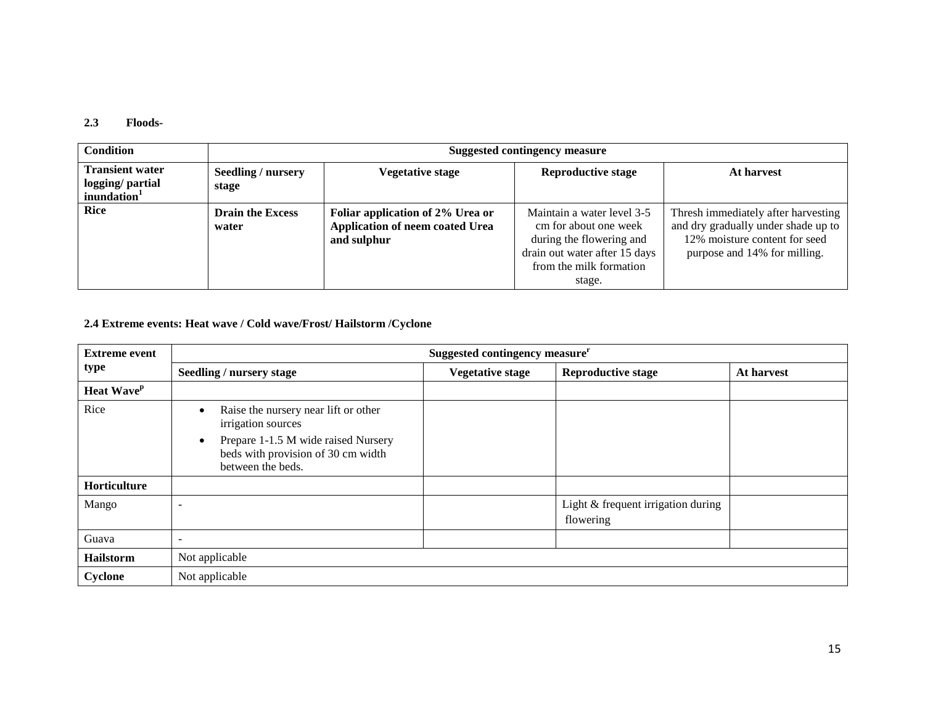#### **2.3 Floods-**

| Condition                                                             | Suggested contingency measure    |                                                                                    |                                                                                                                                                       |                                                                                                                                             |
|-----------------------------------------------------------------------|----------------------------------|------------------------------------------------------------------------------------|-------------------------------------------------------------------------------------------------------------------------------------------------------|---------------------------------------------------------------------------------------------------------------------------------------------|
| <b>Transient water</b><br>logging/ partial<br>inundation <sup>1</sup> | Seedling / nursery<br>stage      | <b>Vegetative stage</b>                                                            | <b>Reproductive stage</b>                                                                                                                             | At harvest                                                                                                                                  |
| <b>Rice</b>                                                           | <b>Drain the Excess</b><br>water | Foliar application of 2% Urea or<br>Application of neem coated Urea<br>and sulphur | Maintain a water level 3-5<br>cm for about one week<br>during the flowering and<br>drain out water after 15 days<br>from the milk formation<br>stage. | Thresh immediately after harvesting<br>and dry gradually under shade up to<br>12% moisture content for seed<br>purpose and 14% for milling. |

## **2.4 Extreme events: Heat wave / Cold wave/Frost/ Hailstorm /Cyclone**

| <b>Extreme event</b>   | Suggested contingency measure <sup>r</sup>                                                                                                                   |                         |                                                 |            |  |
|------------------------|--------------------------------------------------------------------------------------------------------------------------------------------------------------|-------------------------|-------------------------------------------------|------------|--|
| type                   | Seedling / nursery stage                                                                                                                                     | <b>Vegetative stage</b> | <b>Reproductive stage</b>                       | At harvest |  |
| Heat Wave <sup>p</sup> |                                                                                                                                                              |                         |                                                 |            |  |
| Rice                   | Raise the nursery near lift or other<br>irrigation sources<br>Prepare 1-1.5 M wide raised Nursery<br>beds with provision of 30 cm width<br>between the beds. |                         |                                                 |            |  |
| Horticulture           |                                                                                                                                                              |                         |                                                 |            |  |
| Mango                  |                                                                                                                                                              |                         | Light & frequent irrigation during<br>flowering |            |  |
| Guava                  |                                                                                                                                                              |                         |                                                 |            |  |
| Hailstorm              | Not applicable                                                                                                                                               |                         |                                                 |            |  |
| Cyclone                | Not applicable                                                                                                                                               |                         |                                                 |            |  |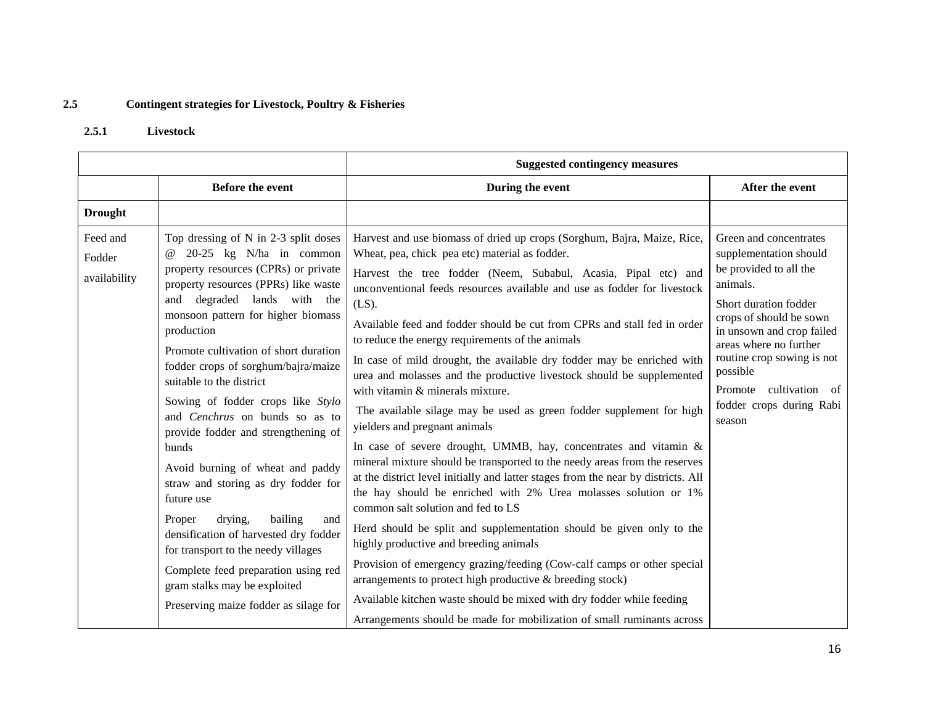## **2.5 Contingent strategies for Livestock, Poultry & Fisheries**

## **2.5.1 Livestock**

|                                    |                                                                                                                                                                                                                                                                                                                                                                                                                                                                                                                                                                                                                                                                                                                                                                                                                     | <b>Suggested contingency measures</b>                                                                                                                                                                                                                                                                                                                                                                                                                                                                                                                                                                                                                                                                                                                                                                                                                                                                                                                                                                                                                                                                                                                                                                                                                                                                                                                                                                                                                                            |                                                                                                                                                                                                                                                                                                             |  |
|------------------------------------|---------------------------------------------------------------------------------------------------------------------------------------------------------------------------------------------------------------------------------------------------------------------------------------------------------------------------------------------------------------------------------------------------------------------------------------------------------------------------------------------------------------------------------------------------------------------------------------------------------------------------------------------------------------------------------------------------------------------------------------------------------------------------------------------------------------------|----------------------------------------------------------------------------------------------------------------------------------------------------------------------------------------------------------------------------------------------------------------------------------------------------------------------------------------------------------------------------------------------------------------------------------------------------------------------------------------------------------------------------------------------------------------------------------------------------------------------------------------------------------------------------------------------------------------------------------------------------------------------------------------------------------------------------------------------------------------------------------------------------------------------------------------------------------------------------------------------------------------------------------------------------------------------------------------------------------------------------------------------------------------------------------------------------------------------------------------------------------------------------------------------------------------------------------------------------------------------------------------------------------------------------------------------------------------------------------|-------------------------------------------------------------------------------------------------------------------------------------------------------------------------------------------------------------------------------------------------------------------------------------------------------------|--|
|                                    | <b>Before the event</b>                                                                                                                                                                                                                                                                                                                                                                                                                                                                                                                                                                                                                                                                                                                                                                                             | During the event                                                                                                                                                                                                                                                                                                                                                                                                                                                                                                                                                                                                                                                                                                                                                                                                                                                                                                                                                                                                                                                                                                                                                                                                                                                                                                                                                                                                                                                                 | After the event                                                                                                                                                                                                                                                                                             |  |
| <b>Drought</b>                     |                                                                                                                                                                                                                                                                                                                                                                                                                                                                                                                                                                                                                                                                                                                                                                                                                     |                                                                                                                                                                                                                                                                                                                                                                                                                                                                                                                                                                                                                                                                                                                                                                                                                                                                                                                                                                                                                                                                                                                                                                                                                                                                                                                                                                                                                                                                                  |                                                                                                                                                                                                                                                                                                             |  |
| Feed and<br>Fodder<br>availability | Top dressing of N in 2-3 split doses<br>$20-25$ kg N/ha in common<br>$\omega$<br>property resources (CPRs) or private<br>property resources (PPRs) like waste<br>and degraded lands with the<br>monsoon pattern for higher biomass<br>production<br>Promote cultivation of short duration<br>fodder crops of sorghum/bajra/maize<br>suitable to the district<br>Sowing of fodder crops like Stylo<br>and Cenchrus on bunds so as to<br>provide fodder and strengthening of<br>bunds<br>Avoid burning of wheat and paddy<br>straw and storing as dry fodder for<br>future use<br>drying,<br>bailing<br>Proper<br>and<br>densification of harvested dry fodder<br>for transport to the needy villages<br>Complete feed preparation using red<br>gram stalks may be exploited<br>Preserving maize fodder as silage for | Harvest and use biomass of dried up crops (Sorghum, Bajra, Maize, Rice,<br>Wheat, pea, chick pea etc) material as fodder.<br>Harvest the tree fodder (Neem, Subabul, Acasia, Pipal etc) and<br>unconventional feeds resources available and use as fodder for livestock<br>$(LS)$ .<br>Available feed and fodder should be cut from CPRs and stall fed in order<br>to reduce the energy requirements of the animals<br>In case of mild drought, the available dry fodder may be enriched with<br>urea and molasses and the productive livestock should be supplemented<br>with vitamin & minerals mixture.<br>The available silage may be used as green fodder supplement for high<br>yielders and pregnant animals<br>In case of severe drought, UMMB, hay, concentrates and vitamin &<br>mineral mixture should be transported to the needy areas from the reserves<br>at the district level initially and latter stages from the near by districts. All<br>the hay should be enriched with 2% Urea molasses solution or 1%<br>common salt solution and fed to LS<br>Herd should be split and supplementation should be given only to the<br>highly productive and breeding animals<br>Provision of emergency grazing/feeding (Cow-calf camps or other special<br>arrangements to protect high productive & breeding stock)<br>Available kitchen waste should be mixed with dry fodder while feeding<br>Arrangements should be made for mobilization of small ruminants across | Green and concentrates<br>supplementation should<br>be provided to all the<br>animals.<br>Short duration fodder<br>crops of should be sown<br>in unsown and crop failed<br>areas where no further<br>routine crop sowing is not<br>possible<br>Promote cultivation of<br>fodder crops during Rabi<br>season |  |

16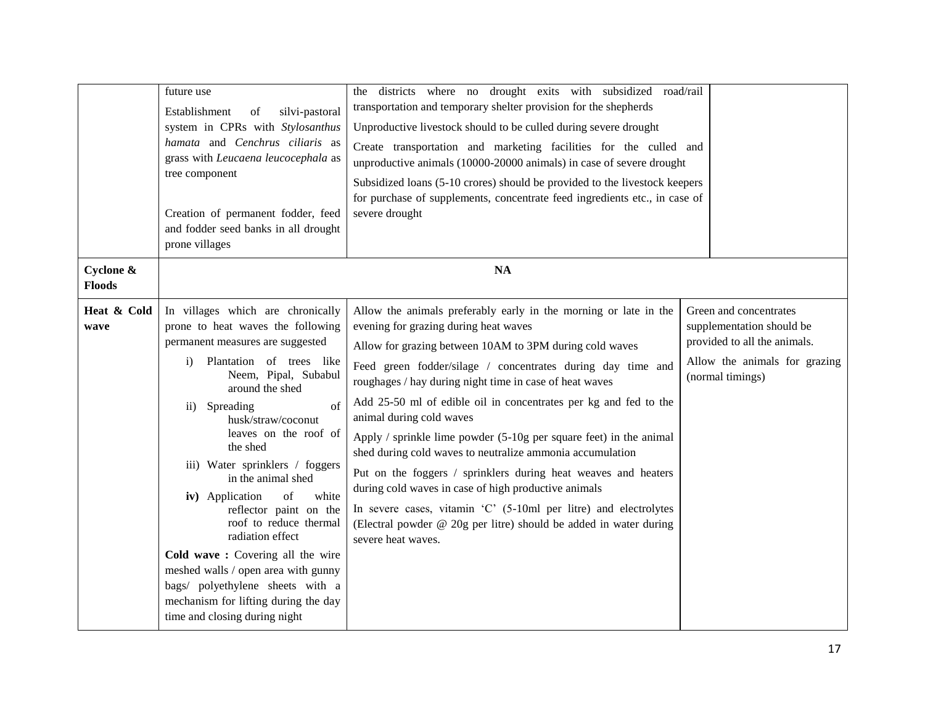|                            | future use<br>Establishment<br>of<br>silvi-pastoral<br>system in CPRs with Stylosanthus<br>hamata and Cenchrus ciliaris as<br>grass with Leucaena leucocephala as<br>tree component<br>Creation of permanent fodder, feed<br>and fodder seed banks in all drought<br>prone villages                                                                                                                                                                                                                                                                                                                                                                               | the districts where no drought exits with subsidized road/rail<br>transportation and temporary shelter provision for the shepherds<br>Unproductive livestock should to be culled during severe drought<br>Create transportation and marketing facilities for the culled and<br>unproductive animals (10000-20000 animals) in case of severe drought<br>Subsidized loans (5-10 crores) should be provided to the livestock keepers<br>for purchase of supplements, concentrate feed ingredients etc., in case of<br>severe drought                                                                                                                                                                                                                                                                                              |                                                                                                                                          |
|----------------------------|-------------------------------------------------------------------------------------------------------------------------------------------------------------------------------------------------------------------------------------------------------------------------------------------------------------------------------------------------------------------------------------------------------------------------------------------------------------------------------------------------------------------------------------------------------------------------------------------------------------------------------------------------------------------|--------------------------------------------------------------------------------------------------------------------------------------------------------------------------------------------------------------------------------------------------------------------------------------------------------------------------------------------------------------------------------------------------------------------------------------------------------------------------------------------------------------------------------------------------------------------------------------------------------------------------------------------------------------------------------------------------------------------------------------------------------------------------------------------------------------------------------|------------------------------------------------------------------------------------------------------------------------------------------|
| Cyclone &<br><b>Floods</b> |                                                                                                                                                                                                                                                                                                                                                                                                                                                                                                                                                                                                                                                                   | NA                                                                                                                                                                                                                                                                                                                                                                                                                                                                                                                                                                                                                                                                                                                                                                                                                             |                                                                                                                                          |
| Heat & Cold<br>wave        | In villages which are chronically<br>prone to heat waves the following<br>permanent measures are suggested<br>Plantation of trees like<br>i)<br>Neem, Pipal, Subabul<br>around the shed<br>Spreading<br>of<br>$\overline{11}$<br>husk/straw/coconut<br>leaves on the roof of<br>the shed<br>iii) Water sprinklers / foggers<br>in the animal shed<br>iv) Application<br>$_{\mathrm{of}}$<br>white<br>reflector paint on the<br>roof to reduce thermal<br>radiation effect<br>Cold wave: Covering all the wire<br>meshed walls / open area with gunny<br>bags/ polyethylene sheets with a<br>mechanism for lifting during the day<br>time and closing during night | Allow the animals preferably early in the morning or late in the<br>evening for grazing during heat waves<br>Allow for grazing between 10AM to 3PM during cold waves<br>Feed green fodder/silage / concentrates during day time and<br>roughages / hay during night time in case of heat waves<br>Add 25-50 ml of edible oil in concentrates per kg and fed to the<br>animal during cold waves<br>Apply / sprinkle lime powder $(5-10)$ g per square feet) in the animal<br>shed during cold waves to neutralize ammonia accumulation<br>Put on the foggers / sprinklers during heat weaves and heaters<br>during cold waves in case of high productive animals<br>In severe cases, vitamin 'C' (5-10ml per litre) and electrolytes<br>(Electral powder @ 20g per litre) should be added in water during<br>severe heat waves. | Green and concentrates<br>supplementation should be<br>provided to all the animals.<br>Allow the animals for grazing<br>(normal timings) |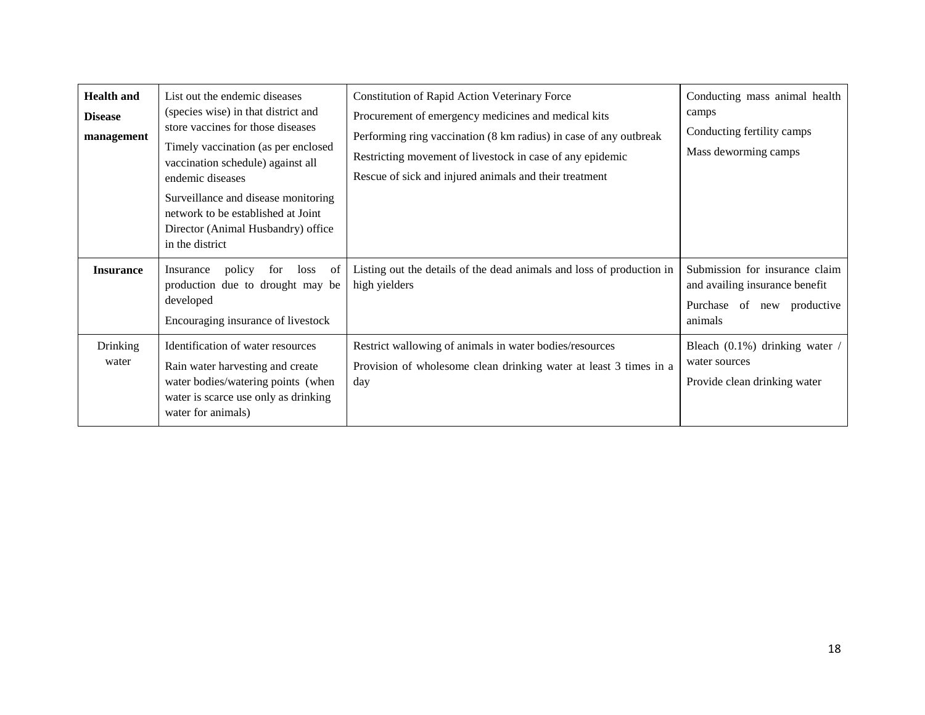| <b>Health and</b><br><b>Disease</b><br>management | List out the endemic diseases<br>(species wise) in that district and<br>store vaccines for those diseases<br>Timely vaccination (as per enclosed<br>vaccination schedule) against all<br>endemic diseases<br>Surveillance and disease monitoring<br>network to be established at Joint<br>Director (Animal Husbandry) office<br>in the district | <b>Constitution of Rapid Action Veterinary Force</b><br>Procurement of emergency medicines and medical kits<br>Performing ring vaccination (8 km radius) in case of any outbreak<br>Restricting movement of livestock in case of any epidemic<br>Rescue of sick and injured animals and their treatment | Conducting mass animal health<br>camps<br>Conducting fertility camps<br>Mass deworming camps              |
|---------------------------------------------------|-------------------------------------------------------------------------------------------------------------------------------------------------------------------------------------------------------------------------------------------------------------------------------------------------------------------------------------------------|---------------------------------------------------------------------------------------------------------------------------------------------------------------------------------------------------------------------------------------------------------------------------------------------------------|-----------------------------------------------------------------------------------------------------------|
| <b>Insurance</b>                                  | policy<br>loss of<br>Insurance<br>for<br>production due to drought may be<br>developed<br>Encouraging insurance of livestock                                                                                                                                                                                                                    | Listing out the details of the dead animals and loss of production in<br>high yielders                                                                                                                                                                                                                  | Submission for insurance claim<br>and availing insurance benefit<br>Purchase of new productive<br>animals |
| Drinking<br>water                                 | Identification of water resources<br>Rain water harvesting and create<br>water bodies/watering points (when<br>water is scarce use only as drinking<br>water for animals)                                                                                                                                                                       | Restrict wallowing of animals in water bodies/resources<br>Provision of wholesome clean drinking water at least 3 times in a<br>day                                                                                                                                                                     | Bleach $(0.1\%)$ drinking water /<br>water sources<br>Provide clean drinking water                        |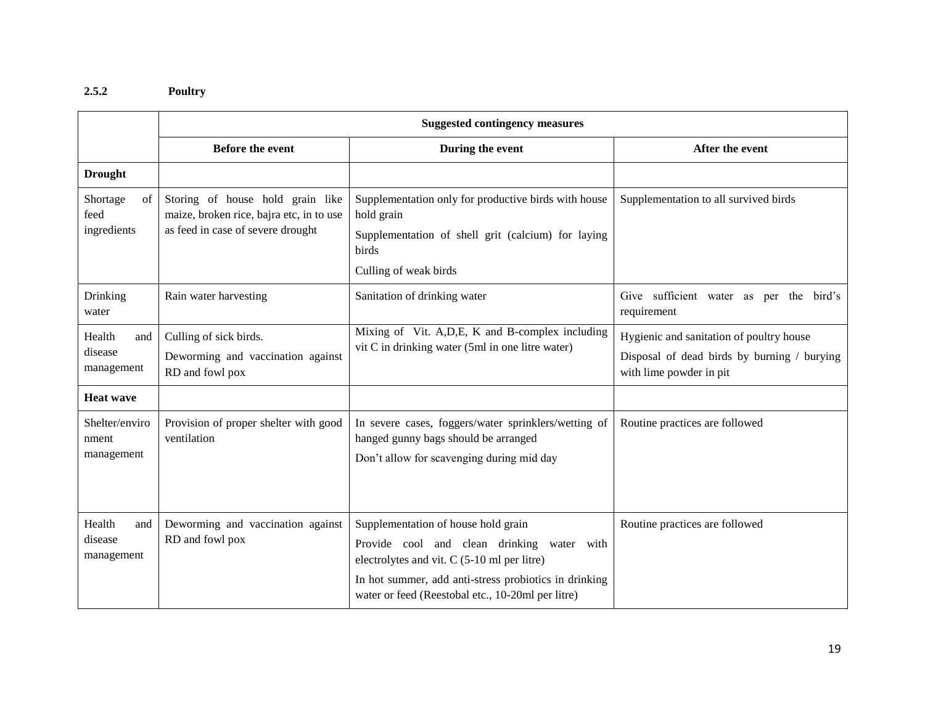## **2.5.2 Poultry**

|                                        | <b>Suggested contingency measures</b>                                                                             |                                                                                                                                                                                                                                                |                                                                                                                    |  |
|----------------------------------------|-------------------------------------------------------------------------------------------------------------------|------------------------------------------------------------------------------------------------------------------------------------------------------------------------------------------------------------------------------------------------|--------------------------------------------------------------------------------------------------------------------|--|
|                                        | <b>Before the event</b>                                                                                           | During the event                                                                                                                                                                                                                               | After the event                                                                                                    |  |
| <b>Drought</b>                         |                                                                                                                   |                                                                                                                                                                                                                                                |                                                                                                                    |  |
| Shortage<br>of<br>feed<br>ingredients  | Storing of house hold grain like<br>maize, broken rice, bajra etc, in to use<br>as feed in case of severe drought | Supplementation only for productive birds with house<br>hold grain<br>Supplementation of shell grit (calcium) for laying                                                                                                                       | Supplementation to all survived birds                                                                              |  |
|                                        |                                                                                                                   | birds                                                                                                                                                                                                                                          |                                                                                                                    |  |
|                                        |                                                                                                                   | Culling of weak birds                                                                                                                                                                                                                          |                                                                                                                    |  |
| Drinking<br>water                      | Rain water harvesting                                                                                             | Sanitation of drinking water                                                                                                                                                                                                                   | Give sufficient water as per the bird's<br>requirement                                                             |  |
| Health<br>and<br>disease<br>management | Culling of sick birds.<br>Deworming and vaccination against<br>RD and fowl pox                                    | Mixing of Vit. A, D, E, K and B-complex including<br>vit C in drinking water (5ml in one litre water)                                                                                                                                          | Hygienic and sanitation of poultry house<br>Disposal of dead birds by burning / burying<br>with lime powder in pit |  |
| <b>Heat wave</b>                       |                                                                                                                   |                                                                                                                                                                                                                                                |                                                                                                                    |  |
| Shelter/enviro<br>nment<br>management  | Provision of proper shelter with good<br>ventilation                                                              | In severe cases, foggers/water sprinklers/wetting of<br>hanged gunny bags should be arranged<br>Don't allow for scavenging during mid day                                                                                                      | Routine practices are followed                                                                                     |  |
| Health<br>and<br>disease<br>management | Deworming and vaccination against<br>RD and fowl pox                                                              | Supplementation of house hold grain<br>Provide cool and clean drinking water with<br>electrolytes and vit. C (5-10 ml per litre)<br>In hot summer, add anti-stress probiotics in drinking<br>water or feed (Reestobal etc., 10-20ml per litre) | Routine practices are followed                                                                                     |  |